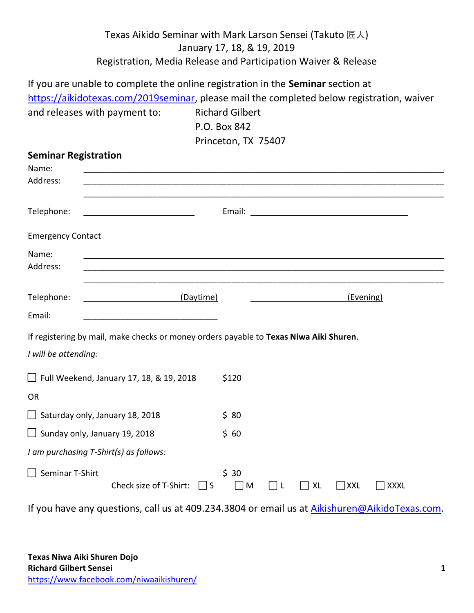## Texas Aikido Seminar with Mark Larson Sensei (Takuto 匠人) January 17, 18, & 19, 2019 Registration, Media Release and Participation Waiver & Release

If you are unable to complete the online registration in the Seminar section at https://aikidotexas.com/2019seminar, please mail the completed below registration, waiver and releases with payment to: Richard Gilbert

P.O. Box 842 Princeton, TX 75407

| <b>Seminar Registration</b>                                                            |                                                                                                       |
|----------------------------------------------------------------------------------------|-------------------------------------------------------------------------------------------------------|
| Name:                                                                                  |                                                                                                       |
| Address:                                                                               |                                                                                                       |
|                                                                                        |                                                                                                       |
| Telephone:<br><u> 1980 - Johann Barbara, martxa alemaniar a</u>                        |                                                                                                       |
| <b>Emergency Contact</b>                                                               |                                                                                                       |
| Name:                                                                                  |                                                                                                       |
| Address:                                                                               |                                                                                                       |
|                                                                                        |                                                                                                       |
| (Daytime)<br>Telephone:                                                                | (Evening)                                                                                             |
| Email:                                                                                 |                                                                                                       |
|                                                                                        |                                                                                                       |
| If registering by mail, make checks or money orders payable to Texas Niwa Aiki Shuren. |                                                                                                       |
| I will be attending:                                                                   |                                                                                                       |
| $\Box$ Full Weekend, January 17, 18, & 19, 2018                                        | \$120                                                                                                 |
|                                                                                        |                                                                                                       |
| <b>OR</b>                                                                              |                                                                                                       |
| $\Box$ Saturday only, January 18, 2018                                                 | \$80                                                                                                  |
| $\Box$ Sunday only, January 19, 2018                                                   | \$60                                                                                                  |
| I am purchasing T-Shirt(s) as follows:                                                 |                                                                                                       |
| $\Box$ Seminar T-Shirt                                                                 | \$30                                                                                                  |
| Check size of T-Shirt:<br>$\Box$ S                                                     | $\Box$ XXXL<br>$\Box$ M<br>ΠL<br>$\Box$ XL<br>$\Box$ XXL                                              |
|                                                                                        | If you have any questions, call us at 409.234.3804 or email us at <b>Aikishuren@AikidoTexas.com</b> . |